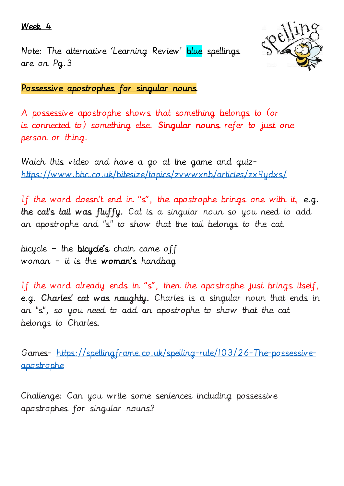## Week 4

Note: The alternative 'Learning Review' blue spellings are on Pg.3



## Possessive apostrophes for singular nouns

A possessive apostrophe shows that something belongs to (or is connected to) something else. Singular nouns refer to just one person or thing.

Watch this video and have a go at the game and quiz<https://www.bbc.co.uk/bitesize/topics/zvwwxnb/articles/zx9ydxs/>

If the word doesn't end in "s", the apostrophe brings one with it, e.g. the cat's tail was fluffy. Cat is a singular noun so you need to add an apostrophe and "s" to show that the tail belongs to the cat.

bicycle – the bicycle's chain came off woman – it is the woman's handbag

If the word already ends in "s", then the apostrophe just brings itself, e.g. Charles' cat was naughty. Charles is a singular noun that ends in an "s", so you need to add an apostrophe to show that the cat belongs to Charles.

Games- [https://spellingframe.co.uk/spelling-rule/103/26-The-possessive](https://spellingframe.co.uk/spelling-rule/103/26-The-possessive-apostrophe)[apostrophe](https://spellingframe.co.uk/spelling-rule/103/26-The-possessive-apostrophe)

Challenge: Can you write some sentences including possessive apostrophes for singular nouns?